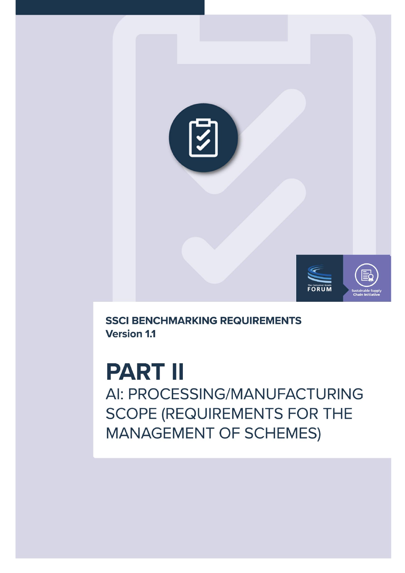

**SSCI BENCHMARKING REQUIREMENTS Version 1.1** 

**PART II** AI: PROCESSING/MANUFACTURING **SCOPE (REQUIREMENTS FOR THE MANAGEMENT OF SCHEMES)**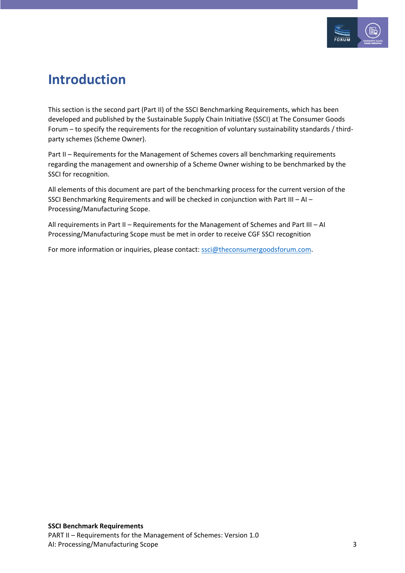

#### <span id="page-2-0"></span>**Introduction**

This section is the second part (Part II) of the SSCI Benchmarking Requirements, which has been developed and published by the Sustainable Supply Chain Initiative (SSCI) at The Consumer Goods Forum – to specify the requirements for the recognition of voluntary sustainability standards / thirdparty schemes (Scheme Owner).

Part II – Requirements for the Management of Schemes covers all benchmarking requirements regarding the management and ownership of a Scheme Owner wishing to be benchmarked by the SSCI for recognition.

All elements of this document are part of the benchmarking process for the current version of the SSCI Benchmarking Requirements and will be checked in conjunction with Part III – AI – Processing/Manufacturing Scope.

All requirements in Part II – Requirements for the Management of Schemes and Part III – AI Processing/Manufacturing Scope must be met in order to receive CGF SSCI recognition

For more information or inquiries, please contact: [ssci@theconsumergoodsforum.com.](mailto:ssci@theconsumergoodsforum.com)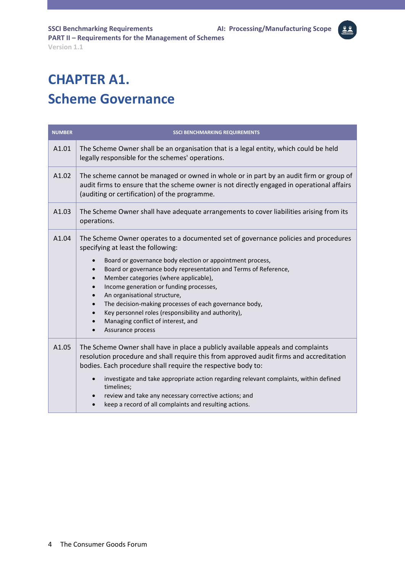#### <span id="page-3-0"></span>**CHAPTER A1. Scheme Governance**

| <b>NUMBER</b> | <b>SSCI BENCHMARKING REQUIREMENTS</b>                                                                                                                                                                                                                                                                                                                                                                                                                                                                                                                                                                                                   |
|---------------|-----------------------------------------------------------------------------------------------------------------------------------------------------------------------------------------------------------------------------------------------------------------------------------------------------------------------------------------------------------------------------------------------------------------------------------------------------------------------------------------------------------------------------------------------------------------------------------------------------------------------------------------|
| A1.01         | The Scheme Owner shall be an organisation that is a legal entity, which could be held<br>legally responsible for the schemes' operations.                                                                                                                                                                                                                                                                                                                                                                                                                                                                                               |
| A1.02         | The scheme cannot be managed or owned in whole or in part by an audit firm or group of<br>audit firms to ensure that the scheme owner is not directly engaged in operational affairs<br>(auditing or certification) of the programme.                                                                                                                                                                                                                                                                                                                                                                                                   |
| A1.03         | The Scheme Owner shall have adequate arrangements to cover liabilities arising from its<br>operations.                                                                                                                                                                                                                                                                                                                                                                                                                                                                                                                                  |
| A1.04         | The Scheme Owner operates to a documented set of governance policies and procedures<br>specifying at least the following:<br>Board or governance body election or appointment process,<br>Board or governance body representation and Terms of Reference,<br>$\bullet$<br>Member categories (where applicable),<br>$\bullet$<br>Income generation or funding processes,<br>$\bullet$<br>An organisational structure,<br>$\bullet$<br>The decision-making processes of each governance body,<br>$\bullet$<br>Key personnel roles (responsibility and authority),<br>Managing conflict of interest, and<br>Assurance process<br>$\bullet$ |
| A1.05         | The Scheme Owner shall have in place a publicly available appeals and complaints<br>resolution procedure and shall require this from approved audit firms and accreditation<br>bodies. Each procedure shall require the respective body to:<br>investigate and take appropriate action regarding relevant complaints, within defined<br>timelines;<br>review and take any necessary corrective actions; and<br>$\bullet$<br>keep a record of all complaints and resulting actions.                                                                                                                                                      |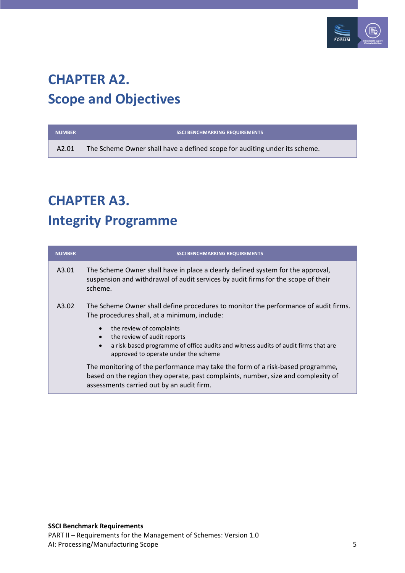

#### <span id="page-4-0"></span>**CHAPTER A2. Scope and Objectives**

| <b>NUMBER</b>     | <b>SSCI BENCHMARKING REQUIREMENTS</b>                                      |
|-------------------|----------------------------------------------------------------------------|
| A <sub>2.01</sub> | The Scheme Owner shall have a defined scope for auditing under its scheme. |

### <span id="page-4-1"></span>**CHAPTER A3. Integrity Programme**

| <b>NUMBER</b> | <b>SSCI BENCHMARKING REQUIREMENTS</b>                                                                                                                                                                                        |
|---------------|------------------------------------------------------------------------------------------------------------------------------------------------------------------------------------------------------------------------------|
| A3.01         | The Scheme Owner shall have in place a clearly defined system for the approval,<br>suspension and withdrawal of audit services by audit firms for the scope of their<br>scheme.                                              |
| A3.02         | The Scheme Owner shall define procedures to monitor the performance of audit firms.<br>The procedures shall, at a minimum, include:                                                                                          |
|               | the review of complaints<br>$\bullet$<br>the review of audit reports<br>$\bullet$<br>a risk-based programme of office audits and witness audits of audit firms that are<br>$\bullet$<br>approved to operate under the scheme |
|               | The monitoring of the performance may take the form of a risk-based programme,<br>based on the region they operate, past complaints, number, size and complexity of<br>assessments carried out by an audit firm.             |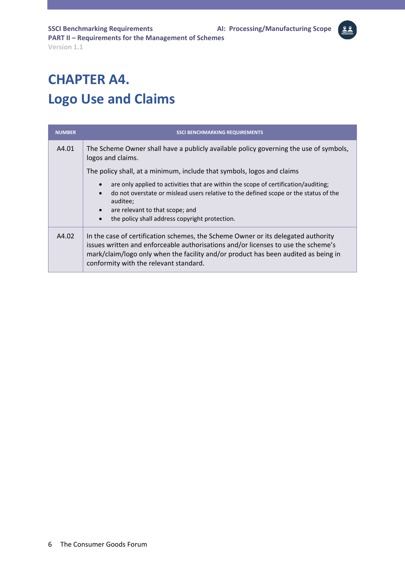#### <span id="page-5-0"></span>**CHAPTER A4. Logo Use and Claims**

| <b>NUMBER</b> | <b>SSCI BENCHMARKING REQUIREMENTS</b>                                                                                                                                                                                                                                                                                            |
|---------------|----------------------------------------------------------------------------------------------------------------------------------------------------------------------------------------------------------------------------------------------------------------------------------------------------------------------------------|
| A4.01         | The Scheme Owner shall have a publicly available policy governing the use of symbols,<br>logos and claims.                                                                                                                                                                                                                       |
|               | The policy shall, at a minimum, include that symbols, logos and claims                                                                                                                                                                                                                                                           |
|               | are only applied to activities that are within the scope of certification/auditing;<br>$\bullet$<br>do not overstate or mislead users relative to the defined scope or the status of the<br>$\bullet$<br>auditee;<br>are relevant to that scope; and<br>$\bullet$<br>the policy shall address copyright protection.<br>$\bullet$ |
| A4.02         | In the case of certification schemes, the Scheme Owner or its delegated authority<br>issues written and enforceable authorisations and/or licenses to use the scheme's<br>mark/claim/logo only when the facility and/or product has been audited as being in<br>conformity with the relevant standard.                           |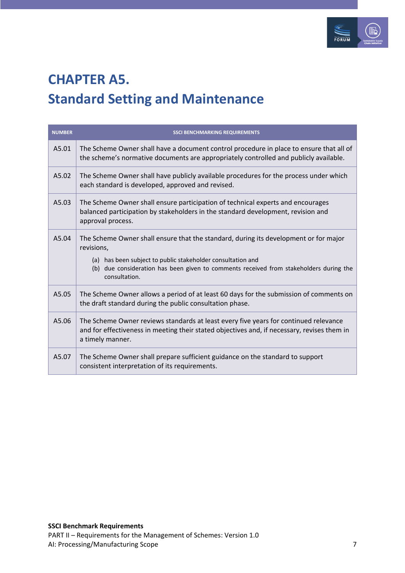

### <span id="page-6-0"></span>**CHAPTER A5. Standard Setting and Maintenance**

| <b>NUMBER</b> | <b>SSCI BENCHMARKING REQUIREMENTS</b>                                                                                                                                                                                                                                        |
|---------------|------------------------------------------------------------------------------------------------------------------------------------------------------------------------------------------------------------------------------------------------------------------------------|
| A5.01         | The Scheme Owner shall have a document control procedure in place to ensure that all of<br>the scheme's normative documents are appropriately controlled and publicly available.                                                                                             |
| A5.02         | The Scheme Owner shall have publicly available procedures for the process under which<br>each standard is developed, approved and revised.                                                                                                                                   |
| A5.03         | The Scheme Owner shall ensure participation of technical experts and encourages<br>balanced participation by stakeholders in the standard development, revision and<br>approval process.                                                                                     |
| A5.04         | The Scheme Owner shall ensure that the standard, during its development or for major<br>revisions,<br>(a) has been subject to public stakeholder consultation and<br>(b) due consideration has been given to comments received from stakeholders during the<br>consultation. |
| A5.05         | The Scheme Owner allows a period of at least 60 days for the submission of comments on<br>the draft standard during the public consultation phase.                                                                                                                           |
| A5.06         | The Scheme Owner reviews standards at least every five years for continued relevance<br>and for effectiveness in meeting their stated objectives and, if necessary, revises them in<br>a timely manner.                                                                      |
| A5.07         | The Scheme Owner shall prepare sufficient guidance on the standard to support<br>consistent interpretation of its requirements.                                                                                                                                              |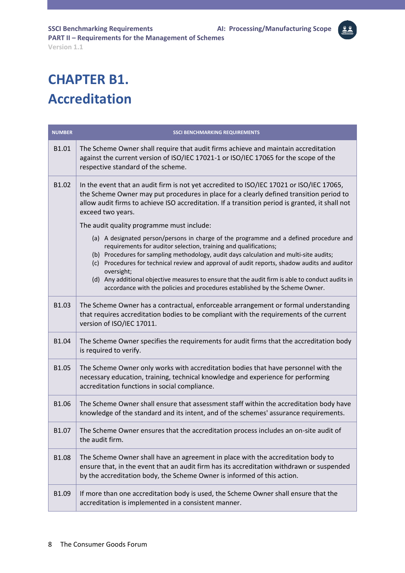#### <span id="page-7-0"></span>**CHAPTER B1. Accreditation**

| <b>NUMBER</b> | <b>SSCI BENCHMARKING REQUIREMENTS</b>                                                                                                                                                                                                                                                                                                                                                                                                                                  |
|---------------|------------------------------------------------------------------------------------------------------------------------------------------------------------------------------------------------------------------------------------------------------------------------------------------------------------------------------------------------------------------------------------------------------------------------------------------------------------------------|
| B1.01         | The Scheme Owner shall require that audit firms achieve and maintain accreditation<br>against the current version of ISO/IEC 17021-1 or ISO/IEC 17065 for the scope of the<br>respective standard of the scheme.                                                                                                                                                                                                                                                       |
| B1.02         | In the event that an audit firm is not yet accredited to ISO/IEC 17021 or ISO/IEC 17065,<br>the Scheme Owner may put procedures in place for a clearly defined transition period to<br>allow audit firms to achieve ISO accreditation. If a transition period is granted, it shall not<br>exceed two years.                                                                                                                                                            |
|               | The audit quality programme must include:                                                                                                                                                                                                                                                                                                                                                                                                                              |
|               | (a) A designated person/persons in charge of the programme and a defined procedure and<br>requirements for auditor selection, training and qualifications;<br>(b) Procedures for sampling methodology, audit days calculation and multi-site audits;<br>(c) Procedures for technical review and approval of audit reports, shadow audits and auditor<br>oversight;<br>(d) Any additional objective measures to ensure that the audit firm is able to conduct audits in |
|               | accordance with the policies and procedures established by the Scheme Owner.                                                                                                                                                                                                                                                                                                                                                                                           |
| B1.03         | The Scheme Owner has a contractual, enforceable arrangement or formal understanding<br>that requires accreditation bodies to be compliant with the requirements of the current<br>version of ISO/IEC 17011.                                                                                                                                                                                                                                                            |
| B1.04         | The Scheme Owner specifies the requirements for audit firms that the accreditation body<br>is required to verify.                                                                                                                                                                                                                                                                                                                                                      |
| B1.05         | The Scheme Owner only works with accreditation bodies that have personnel with the<br>necessary education, training, technical knowledge and experience for performing<br>accreditation functions in social compliance.                                                                                                                                                                                                                                                |
| B1.06         | The Scheme Owner shall ensure that assessment staff within the accreditation body have<br>knowledge of the standard and its intent, and of the schemes' assurance requirements.                                                                                                                                                                                                                                                                                        |
| B1.07         | The Scheme Owner ensures that the accreditation process includes an on-site audit of<br>the audit firm.                                                                                                                                                                                                                                                                                                                                                                |
| B1.08         | The Scheme Owner shall have an agreement in place with the accreditation body to<br>ensure that, in the event that an audit firm has its accreditation withdrawn or suspended<br>by the accreditation body, the Scheme Owner is informed of this action.                                                                                                                                                                                                               |
| B1.09         | If more than one accreditation body is used, the Scheme Owner shall ensure that the<br>accreditation is implemented in a consistent manner.                                                                                                                                                                                                                                                                                                                            |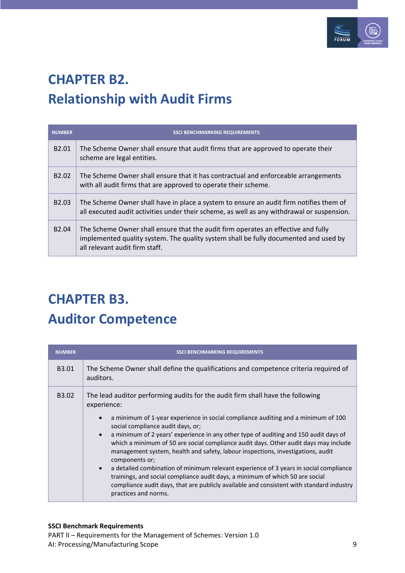

# <span id="page-8-0"></span>**CHAPTER B2. Relationship with Audit Firms**

| <b>NUMBER</b>     | <b>SSCI BENCHMARKING REQUIREMENTS</b>                                                                                                                                                                       |
|-------------------|-------------------------------------------------------------------------------------------------------------------------------------------------------------------------------------------------------------|
| B <sub>2.01</sub> | The Scheme Owner shall ensure that audit firms that are approved to operate their<br>scheme are legal entities.                                                                                             |
| B <sub>2.02</sub> | The Scheme Owner shall ensure that it has contractual and enforceable arrangements<br>with all audit firms that are approved to operate their scheme.                                                       |
| B <sub>2.03</sub> | The Scheme Owner shall have in place a system to ensure an audit firm notifies them of<br>all executed audit activities under their scheme, as well as any withdrawal or suspension.                        |
| B <sub>2.04</sub> | The Scheme Owner shall ensure that the audit firm operates an effective and fully<br>implemented quality system. The quality system shall be fully documented and used by<br>all relevant audit firm staff. |

## <span id="page-8-1"></span>**CHAPTER B3. Auditor Competence**

| <b>NUMBER</b>     | <b>SSCI BENCHMARKING REQUIREMENTS</b>                                                                                                                                                                                                                                                                                                                                                                                                                                                                                                                                                                                                                                                                                                                                                                                                             |
|-------------------|---------------------------------------------------------------------------------------------------------------------------------------------------------------------------------------------------------------------------------------------------------------------------------------------------------------------------------------------------------------------------------------------------------------------------------------------------------------------------------------------------------------------------------------------------------------------------------------------------------------------------------------------------------------------------------------------------------------------------------------------------------------------------------------------------------------------------------------------------|
| B <sub>3.01</sub> | The Scheme Owner shall define the qualifications and competence criteria required of<br>auditors.                                                                                                                                                                                                                                                                                                                                                                                                                                                                                                                                                                                                                                                                                                                                                 |
| B <sub>3.02</sub> | The lead auditor performing audits for the audit firm shall have the following<br>experience:<br>a minimum of 1-year experience in social compliance auditing and a minimum of 100<br>$\bullet$<br>social compliance audit days, or;<br>a minimum of 2 years' experience in any other type of auditing and 150 audit days of<br>$\bullet$<br>which a minimum of 50 are social compliance audit days. Other audit days may include<br>management system, health and safety, labour inspections, investigations, audit<br>components or;<br>a detailed combination of minimum relevant experience of 3 years in social compliance<br>$\bullet$<br>trainings, and social compliance audit days, a minimum of which 50 are social<br>compliance audit days, that are publicly available and consistent with standard industry<br>practices and norms. |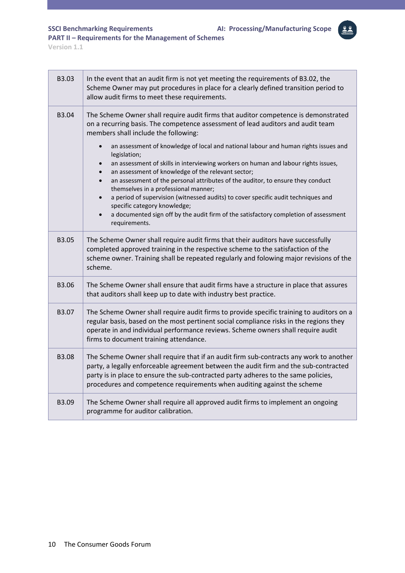**SSCI Benchmarking Requirements AI: Processing/Manufacturing Scope**

a.

**PART II – Requirements for the Management of Schemes** 

**Version 1.1**

| B3.03 | In the event that an audit firm is not yet meeting the requirements of B3.02, the<br>Scheme Owner may put procedures in place for a clearly defined transition period to<br>allow audit firms to meet these requirements.                                                                                                                       |
|-------|-------------------------------------------------------------------------------------------------------------------------------------------------------------------------------------------------------------------------------------------------------------------------------------------------------------------------------------------------|
| B3.04 | The Scheme Owner shall require audit firms that auditor competence is demonstrated<br>on a recurring basis. The competence assessment of lead auditors and audit team<br>members shall include the following:                                                                                                                                   |
|       | an assessment of knowledge of local and national labour and human rights issues and<br>$\bullet$<br>legislation;<br>an assessment of skills in interviewing workers on human and labour rights issues,<br>an assessment of knowledge of the relevant sector;                                                                                    |
|       | an assessment of the personal attributes of the auditor, to ensure they conduct<br>themselves in a professional manner;<br>a period of supervision (witnessed audits) to cover specific audit techniques and<br>$\bullet$<br>specific category knowledge;                                                                                       |
|       | a documented sign off by the audit firm of the satisfactory completion of assessment<br>requirements.                                                                                                                                                                                                                                           |
| B3.05 | The Scheme Owner shall require audit firms that their auditors have successfully<br>completed approved training in the respective scheme to the satisfaction of the<br>scheme owner. Training shall be repeated regularly and folowing major revisions of the<br>scheme.                                                                        |
| B3.06 | The Scheme Owner shall ensure that audit firms have a structure in place that assures<br>that auditors shall keep up to date with industry best practice.                                                                                                                                                                                       |
| B3.07 | The Scheme Owner shall require audit firms to provide specific training to auditors on a<br>regular basis, based on the most pertinent social compliance risks in the regions they<br>operate in and individual performance reviews. Scheme owners shall require audit<br>firms to document training attendance.                                |
| B3.08 | The Scheme Owner shall require that if an audit firm sub-contracts any work to another<br>party, a legally enforceable agreement between the audit firm and the sub-contracted<br>party is in place to ensure the sub-contracted party adheres to the same policies,<br>procedures and competence requirements when auditing against the scheme |
| B3.09 | The Scheme Owner shall require all approved audit firms to implement an ongoing<br>programme for auditor calibration.                                                                                                                                                                                                                           |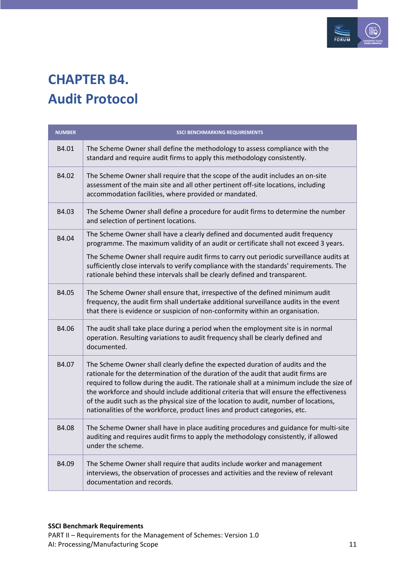

### <span id="page-10-0"></span>**CHAPTER B4. Audit Protocol**

| <b>NUMBER</b> | <b>SSCI BENCHMARKING REQUIREMENTS</b>                                                                                                                                                                                                                                                                                                                                                                                                                                                                                             |
|---------------|-----------------------------------------------------------------------------------------------------------------------------------------------------------------------------------------------------------------------------------------------------------------------------------------------------------------------------------------------------------------------------------------------------------------------------------------------------------------------------------------------------------------------------------|
| B4.01         | The Scheme Owner shall define the methodology to assess compliance with the<br>standard and require audit firms to apply this methodology consistently.                                                                                                                                                                                                                                                                                                                                                                           |
| B4.02         | The Scheme Owner shall require that the scope of the audit includes an on-site<br>assessment of the main site and all other pertinent off-site locations, including<br>accommodation facilities, where provided or mandated.                                                                                                                                                                                                                                                                                                      |
| B4.03         | The Scheme Owner shall define a procedure for audit firms to determine the number<br>and selection of pertinent locations.                                                                                                                                                                                                                                                                                                                                                                                                        |
| B4.04         | The Scheme Owner shall have a clearly defined and documented audit frequency<br>programme. The maximum validity of an audit or certificate shall not exceed 3 years.                                                                                                                                                                                                                                                                                                                                                              |
|               | The Scheme Owner shall require audit firms to carry out periodic surveillance audits at<br>sufficiently close intervals to verify compliance with the standards' requirements. The<br>rationale behind these intervals shall be clearly defined and transparent.                                                                                                                                                                                                                                                                  |
| B4.05         | The Scheme Owner shall ensure that, irrespective of the defined minimum audit<br>frequency, the audit firm shall undertake additional surveillance audits in the event<br>that there is evidence or suspicion of non-conformity within an organisation.                                                                                                                                                                                                                                                                           |
| B4.06         | The audit shall take place during a period when the employment site is in normal<br>operation. Resulting variations to audit frequency shall be clearly defined and<br>documented.                                                                                                                                                                                                                                                                                                                                                |
| B4.07         | The Scheme Owner shall clearly define the expected duration of audits and the<br>rationale for the determination of the duration of the audit that audit firms are<br>required to follow during the audit. The rationale shall at a minimum include the size of<br>the workforce and should include additional criteria that will ensure the effectiveness<br>of the audit such as the physical size of the location to audit, number of locations,<br>nationalities of the workforce, product lines and product categories, etc. |
| B4.08         | The Scheme Owner shall have in place auditing procedures and guidance for multi-site<br>auditing and requires audit firms to apply the methodology consistently, if allowed<br>under the scheme.                                                                                                                                                                                                                                                                                                                                  |
| B4.09         | The Scheme Owner shall require that audits include worker and management<br>interviews, the observation of processes and activities and the review of relevant<br>documentation and records.                                                                                                                                                                                                                                                                                                                                      |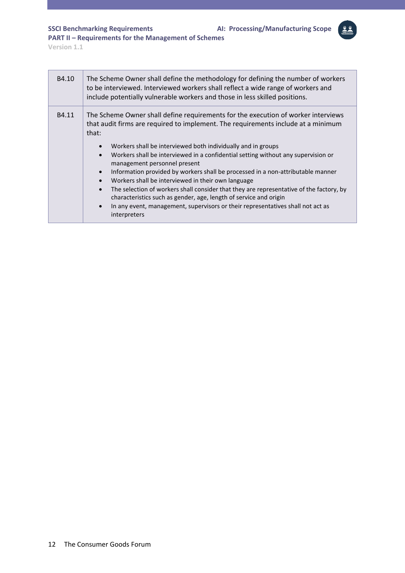**SSCI Benchmarking Requirements AI: Processing/Manufacturing Scope**

a.

**PART II – Requirements for the Management of Schemes** 

**Version 1.1**

 $\overline{\phantom{0}}$ 

| B4.10 | The Scheme Owner shall define the methodology for defining the number of workers<br>to be interviewed. Interviewed workers shall reflect a wide range of workers and<br>include potentially vulnerable workers and those in less skilled positions.                                                                                                                                                                                                                                                                               |
|-------|-----------------------------------------------------------------------------------------------------------------------------------------------------------------------------------------------------------------------------------------------------------------------------------------------------------------------------------------------------------------------------------------------------------------------------------------------------------------------------------------------------------------------------------|
| B4.11 | The Scheme Owner shall define requirements for the execution of worker interviews<br>that audit firms are required to implement. The requirements include at a minimum<br>that:                                                                                                                                                                                                                                                                                                                                                   |
|       | Workers shall be interviewed both individually and in groups<br>Workers shall be interviewed in a confidential setting without any supervision or<br>management personnel present<br>Information provided by workers shall be processed in a non-attributable manner<br>$\bullet$<br>Workers shall be interviewed in their own language<br>$\bullet$<br>The selection of workers shall consider that they are representative of the factory, by<br>$\bullet$<br>characteristics such as gender, age, length of service and origin |
|       | In any event, management, supervisors or their representatives shall not act as<br>interpreters                                                                                                                                                                                                                                                                                                                                                                                                                                   |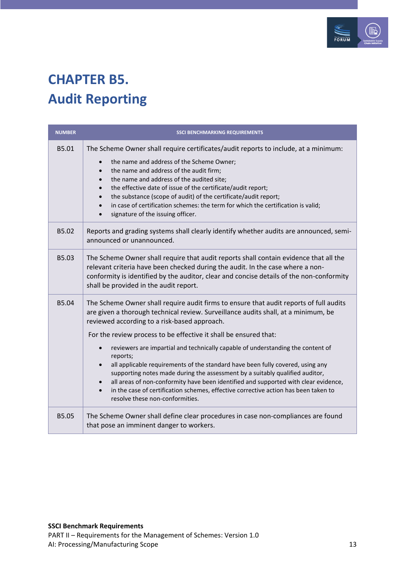

### <span id="page-12-0"></span>**CHAPTER B5. Audit Reporting**

| <b>NUMBER</b> | <b>SSCI BENCHMARKING REQUIREMENTS</b>                                                                                                                                                                                                                                                                                                                                                                                                                                                                                                                                                                                                                                                                                                                                              |
|---------------|------------------------------------------------------------------------------------------------------------------------------------------------------------------------------------------------------------------------------------------------------------------------------------------------------------------------------------------------------------------------------------------------------------------------------------------------------------------------------------------------------------------------------------------------------------------------------------------------------------------------------------------------------------------------------------------------------------------------------------------------------------------------------------|
| B5.01         | The Scheme Owner shall require certificates/audit reports to include, at a minimum:<br>the name and address of the Scheme Owner;<br>$\bullet$<br>the name and address of the audit firm;<br>the name and address of the audited site;<br>the effective date of issue of the certificate/audit report;<br>the substance (scope of audit) of the certificate/audit report;<br>in case of certification schemes: the term for which the certification is valid;<br>signature of the issuing officer.                                                                                                                                                                                                                                                                                  |
| B5.02         | Reports and grading systems shall clearly identify whether audits are announced, semi-<br>announced or unannounced.                                                                                                                                                                                                                                                                                                                                                                                                                                                                                                                                                                                                                                                                |
| B5.03         | The Scheme Owner shall require that audit reports shall contain evidence that all the<br>relevant criteria have been checked during the audit. In the case where a non-<br>conformity is identified by the auditor, clear and concise details of the non-conformity<br>shall be provided in the audit report.                                                                                                                                                                                                                                                                                                                                                                                                                                                                      |
| B5.04         | The Scheme Owner shall require audit firms to ensure that audit reports of full audits<br>are given a thorough technical review. Surveillance audits shall, at a minimum, be<br>reviewed according to a risk-based approach.<br>For the review process to be effective it shall be ensured that:<br>reviewers are impartial and technically capable of understanding the content of<br>reports;<br>all applicable requirements of the standard have been fully covered, using any<br>supporting notes made during the assessment by a suitably qualified auditor,<br>all areas of non-conformity have been identified and supported with clear evidence,<br>in the case of certification schemes, effective corrective action has been taken to<br>resolve these non-conformities. |
| B5.05         | The Scheme Owner shall define clear procedures in case non-compliances are found<br>that pose an imminent danger to workers.                                                                                                                                                                                                                                                                                                                                                                                                                                                                                                                                                                                                                                                       |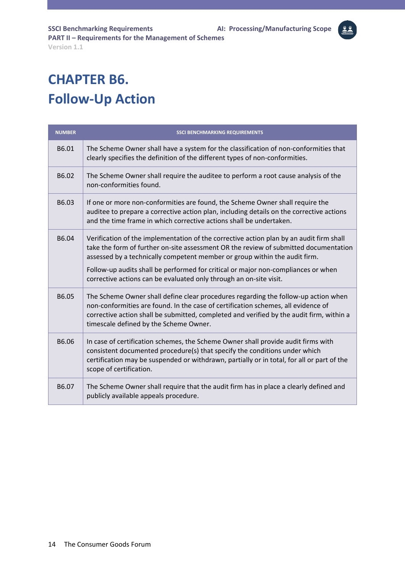# <span id="page-13-0"></span>**CHAPTER B6. Follow-Up Action**

| <b>NUMBER</b> | <b>SSCI BENCHMARKING REQUIREMENTS</b>                                                                                                                                                                                                                                                                                                              |
|---------------|----------------------------------------------------------------------------------------------------------------------------------------------------------------------------------------------------------------------------------------------------------------------------------------------------------------------------------------------------|
| B6.01         | The Scheme Owner shall have a system for the classification of non-conformities that<br>clearly specifies the definition of the different types of non-conformities.                                                                                                                                                                               |
| B6.02         | The Scheme Owner shall require the auditee to perform a root cause analysis of the<br>non-conformities found.                                                                                                                                                                                                                                      |
| B6.03         | If one or more non-conformities are found, the Scheme Owner shall require the<br>auditee to prepare a corrective action plan, including details on the corrective actions<br>and the time frame in which corrective actions shall be undertaken.                                                                                                   |
| B6.04         | Verification of the implementation of the corrective action plan by an audit firm shall<br>take the form of further on-site assessment OR the review of submitted documentation<br>assessed by a technically competent member or group within the audit firm.<br>Follow-up audits shall be performed for critical or major non-compliances or when |
|               | corrective actions can be evaluated only through an on-site visit.                                                                                                                                                                                                                                                                                 |
| B6.05         | The Scheme Owner shall define clear procedures regarding the follow-up action when<br>non-conformities are found. In the case of certification schemes, all evidence of<br>corrective action shall be submitted, completed and verified by the audit firm, within a<br>timescale defined by the Scheme Owner.                                      |
| B6.06         | In case of certification schemes, the Scheme Owner shall provide audit firms with<br>consistent documented procedure(s) that specify the conditions under which<br>certification may be suspended or withdrawn, partially or in total, for all or part of the<br>scope of certification.                                                           |
| B6.07         | The Scheme Owner shall require that the audit firm has in place a clearly defined and<br>publicly available appeals procedure.                                                                                                                                                                                                                     |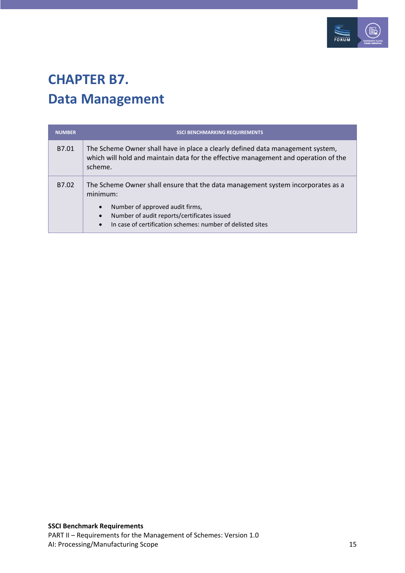

#### <span id="page-14-0"></span>**CHAPTER B7. Data Management**

| <b>NUMBER</b> | <b>SSCI BENCHMARKING REQUIREMENTS</b>                                                                                                                                            |
|---------------|----------------------------------------------------------------------------------------------------------------------------------------------------------------------------------|
| B7.01         | The Scheme Owner shall have in place a clearly defined data management system,<br>which will hold and maintain data for the effective management and operation of the<br>scheme. |
| B7.02         | The Scheme Owner shall ensure that the data management system incorporates as a<br>minimum:                                                                                      |
|               | Number of approved audit firms,<br>$\bullet$                                                                                                                                     |
|               | Number of audit reports/certificates issued<br>In case of certification schemes: number of delisted sites<br>$\bullet$                                                           |